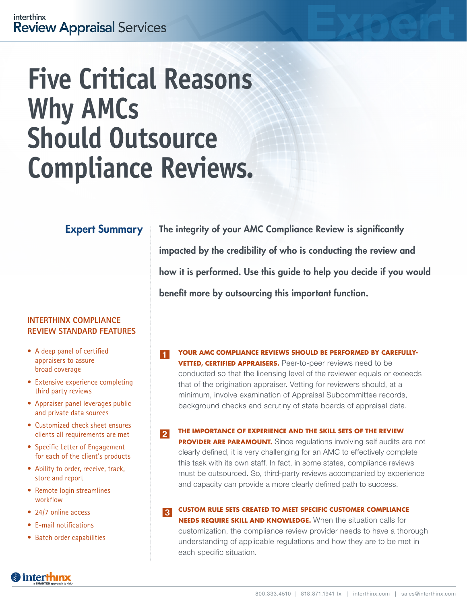# **Five Critical Reasons Why AMCs Should Outsource Compliance Reviews.**

## Expert Summary

### **INTERTHINX COMPLIANCE REVIEW STANDARD FEATURES**

- A deep panel of certified appraisers to assure broad coverage
- Extensive experience completing third party reviews
- Appraiser panel leverages public and private data sources
- Customized check sheet ensures clients all requirements are met
- Specific Letter of Engagement for each of the client's products
- Ability to order, receive, track, store and report
- Remote login streamlines workflow
- 24/7 online access
- E-mail notifications
- Batch order capabilities

The integrity of your AMC Compliance Review is significantly impacted by the credibility of who is conducting the review and how it is performed. Use this guide to help you decide if you would benefit more by outsourcing this important function.

- **YOUR AMC COMPLIANCE REVIEWS SHOULD BE PERFORMED BY CAREFULLY-VETTED, CERTIFIED APPRAISERS.** Peer-to-peer reviews need to be conducted so that the licensing level of the reviewer equals or exceeds that of the origination appraiser. Vetting for reviewers should, at a minimum, involve examination of Appraisal Subcommittee records, background checks and scrutiny of state boards of appraisal data. 1
- **THE IMPORTANCE OF EXPERIENCE AND THE SKILL SETS OF THE REVIEW PROVIDER ARE PARAMOUNT.** Since regulations involving self audits are not clearly defined, it is very challenging for an AMC to effectively complete this task with its own staff. In fact, in some states, compliance reviews must be outsourced. So, third-party reviews accompanied by experience and capacity can provide a more clearly defined path to success.  $\overline{2}$

#### **CUSTOM RULE SETS CREATED TO MEET SPECIFIC CUSTOMER COMPLIANCE**  3

**NEEDS REQUIRE SKILL AND KNOWLEDGE.** When the situation calls for customization, the compliance review provider needs to have a thorough understanding of applicable regulations and how they are to be met in each specific situation.

# **S** interth**inx**